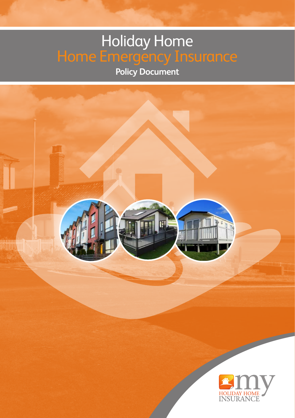# Holiday Home Home Emergency Insurance

**Policy Document**

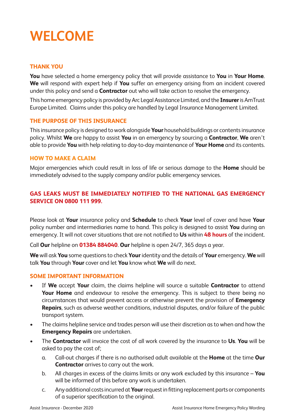# **WELCOME**

### **THANK YOU**

**You** have selected a home emergency policy that will provide assistance to **You** in **Your Home**. **We** will respond with expert help if **You** suffer an emergency arising from an incident covered under this policy and send a **Contractor** out who will take action to resolve the emergency.

This home emergency policy is provided by Arc Legal Assistance Limited, and the **Insurer** is AmTrust Europe Limited. Claims under this policy are handled by Legal Insurance Management Limited.

### **THE PURPOSE OF THIS INSURANCE**

This insurance policy is designed to work alongside **Your** household buildings or contents insurance policy. Whilst **We** are happy to assist **You** in an emergency by sourcing a **Contractor**, **We** aren't able to provide **You** with help relating to day-to-day maintenance of **Your Home** and its contents.

### **HOW TO MAKE A CLAIM**

Major emergencies which could result in loss of life or serious damage to the **Home** should be immediately advised to the supply company and/or public emergency services.

### **GAS LEAKS MUST BE IMMEDIATELY NOTIFIED TO THE NATIONAL GAS EMERGENCY SERVICE ON 0800 111 999.**

Please look at **Your** insurance policy and **Schedule** to check **Your** level of cover and have **Your** policy number and intermediaries name to hand. This policy is designed to assist **You** during an emergency. It will not cover situations that are not notified to **Us** within **48 hours** of the incident.

Call **Our** helpline on **01384 884040**. **Our** helpline is open 24/7, 365 days a year.

**We** will ask **You** some questions to check **Your** identity and the details of **Your** emergency. **We** will talk **You** through **Your** cover and let **You** know what **We** will do next.

### **SOME IMPORTANT INFORMATION**

- If **We** accept **Your** claim, the claims helpline will source a suitable **Contractor** to attend **Your Home** and endeavour to resolve the emergency. This is subject to there being no circumstances that would prevent access or otherwise prevent the provision of **Emergency Repairs**, such as adverse weather conditions, industrial disputes, and/or failure of the public transport system.
- The claims helpline service and trades person will use their discretion as to when and how the **Emergency Repairs** are undertaken.
- The **Contractor** will invoice the cost of all work covered by the insurance to **Us**. **You** will be asked to pay the cost of;
	- a. Call-out charges if there is no authorised adult available at the **Home** at the time **Our Contractor** arrives to carry out the work.
	- b. All charges in excess of the claims limits or any work excluded by this insurance **You** will be informed of this before any work is undertaken.
	- c. Any additional costs incurred at **Your** request in fitting replacement parts or components of a superior specification to the original.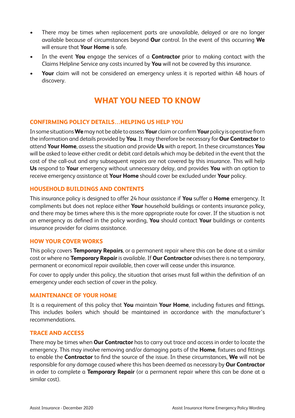- There may be times when replacement parts are unavailable, delayed or are no longer available because of circumstances beyond **Our** control. In the event of this occurring **We** will ensure that **Your Home** is safe.
- In the event **You** engage the services of a **Contractor** prior to making contact with the Claims Helpline Service any costs incurred by **You** will not be covered by this insurance.
- **Your** claim will not be considered an emergency unless it is reported within 48 hours of discovery.

### **WHAT YOU NEED TO KNOW**

### **CONFIRMING POLICY DETAILS…HELPING US HELP YOU**

In some situations **We** may not be able to assess **Your** claim or confirm **Your** policy is operative from the information and details provided by **You**. It may therefore be necessary for **Our Contractor** to attend **Your Home**, assess the situation and provide **Us** with a report. In these circumstances **You** will be asked to leave either credit or debit card details which may be debited in the event that the cost of the call-out and any subsequent repairs are not covered by this insurance. This will help **Us** respond to **Your** emergency without unnecessary delay, and provides **You** with an option to receive emergency assistance at **Your Home** should cover be excluded under **Your** policy.

### **HOUSEHOLD BUILDINGS AND CONTENTS**

This insurance policy is designed to offer 24 hour assistance if **You** suffer a **Home** emergency. It compliments but does not replace either **Your** household buildings or contents insurance policy, and there may be times where this is the more appropriate route for cover. If the situation is not an emergency as defined in the policy wording, **You** should contact **Your** buildings or contents insurance provider for claims assistance.

### **HOW YOUR COVER WORKS**

This policy covers **Temporary Repairs**, or a permanent repair where this can be done at a similar cost or where no **Temporary Repair** is available. If **Our Contractor** advises there is no temporary, permanent or economical repair available, then cover will cease under this insurance.

For cover to apply under this policy, the situation that arises must fall within the definition of an emergency under each section of cover in the policy.

### **MAINTENANCE OF YOUR HOME**

It is a requirement of this policy that **You** maintain **Your Home**, including fixtures and fittings. This includes boilers which should be maintained in accordance with the manufacturer's recommendations.

### **TRACE AND ACCESS**

There may be times when **Our Contractor** has to carry out trace and access in order to locate the emergency. This may involve removing and/or damaging parts of the **Home**, fixtures and fittings to enable the **Contractor** to find the source of the issue. In these circumstances, **We** will not be responsible for any damage caused where this has been deemed as necessary by **Our Contractor** in order to complete a **Temporary Repair** (or a permanent repair where this can be done at a similar cost).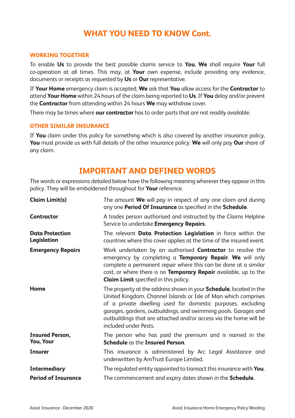### **WHAT YOU NEED TO KNOW Cont.**

### **WORKING TOGETHER**

To enable **Us** to provide the best possible claims service to **You**, **We** shall require **Your** full co-operation at all times. This may, at **Your** own expense, include providing any evidence, documents or receipts as requested by **Us** or **Our** representative.

If **Your Home** emergency claim is accepted, **We** ask that **You** allow access for the **Contractor** to attend **Your Home** within 24 hours of the claim being reported to **Us**. If **You** delay and/or prevent the **Contractor** from attending within 24 hours **We** may withdraw cover.

There may be times where **our contractor** has to order parts that are not readily available.

#### **OTHER SIMILAR INSURANCE**

If **You** claim under this policy for something which is also covered by another insurance policy, **You** must provide us with full details of the other insurance policy. **We** will only pay **Our** share of any claim.

### **IMPORTANT AND DEFINED WORDS**

The words or expressions detailed below have the following meaning wherever they appear in this policy. They will be emboldened throughout for **Your** reference.

| <b>Claim Limit(s)</b>                 | The amount <b>We</b> will pay in respect of any one claim and during<br>any one Period Of Insurance as specified in the Schedule.                                                                                                                                                                                                                                            |
|---------------------------------------|------------------------------------------------------------------------------------------------------------------------------------------------------------------------------------------------------------------------------------------------------------------------------------------------------------------------------------------------------------------------------|
| Contractor                            | A trades person authorised and instructed by the Claims Helpline<br>Service to undertake <b>Emergency Repairs</b> .                                                                                                                                                                                                                                                          |
| <b>Data Protection</b><br>Legislation | The relevant <b>Data Protection Legislation</b> in force within the<br>countries where this cover applies at the time of the insured event.                                                                                                                                                                                                                                  |
| <b>Emergency Repairs</b>              | Work undertaken by an authorised <b>Contractor</b> to resolve the<br>emergency by completing a <b>Temporary Repair. We</b> will only<br>complete a permanent repair where this can be done at a similar<br>cost, or where there is no <b>Temporary Repair</b> available, up to the<br><b>Claim Limit</b> specified in this policy.                                           |
| Home                                  | The property at the address shown in your <b>Schedule</b> , located in the<br>United Kingdom, Channel Islands or Isle of Man which comprises<br>of a private dwelling used for domestic purposes, excluding<br>garages, gardens, outbuildings, and swimming pools. Garages and<br>outbuildings that are attached and/or access via the home will be<br>included under Pests. |
| <b>Insured Person,</b><br>You, Your   | The person who has paid the premium and is named in the<br><b>Schedule</b> as the <b>Insured Person</b> .                                                                                                                                                                                                                                                                    |
| <b>Insurer</b>                        | This insurance is administered by Arc Legal Assistance and<br>underwritten by AmTrust Europe Limited.                                                                                                                                                                                                                                                                        |
| <b>Intermediary</b>                   | The regulated entity appointed to transact this insurance with <b>You</b> .                                                                                                                                                                                                                                                                                                  |
| <b>Period of Insurance</b>            | The commencement and expiry dates shown in the <b>Schedule</b> .                                                                                                                                                                                                                                                                                                             |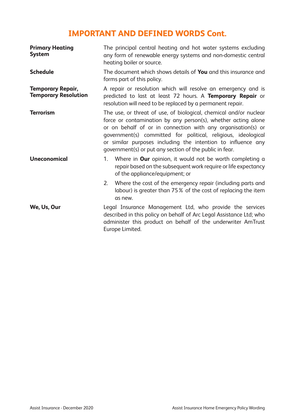### **IMPORTANT AND DEFINED WORDS Cont.**

| <b>Primary Heating</b><br><b>System</b>                 | The principal central heating and hot water systems excluding<br>any form of renewable energy systems and non-domestic central<br>heating boiler or source.                                                                                                                                                                                                                                    |
|---------------------------------------------------------|------------------------------------------------------------------------------------------------------------------------------------------------------------------------------------------------------------------------------------------------------------------------------------------------------------------------------------------------------------------------------------------------|
| <b>Schedule</b>                                         | The document which shows details of <b>You</b> and this insurance and<br>forms part of this policy.                                                                                                                                                                                                                                                                                            |
| <b>Temporary Repair,</b><br><b>Temporary Resolution</b> | A repair or resolution which will resolve an emergency and is<br>predicted to last at least 72 hours. A <b>Temporary Repair</b> or<br>resolution will need to be replaced by a permanent repair.                                                                                                                                                                                               |
| <b>Terrorism</b>                                        | The use, or threat of use, of biological, chemical and/or nuclear<br>force or contamination by any person(s), whether acting alone<br>or on behalf of or in connection with any organisation(s) or<br>government(s) committed for political, religious, ideological<br>or similar purposes including the intention to influence any<br>government(s) or put any section of the public in fear. |
| <b>Uneconomical</b>                                     | Where in <b>Our</b> opinion, it would not be worth completing a<br>1.<br>repair based on the subsequent work require or life expectancy<br>of the appliance/equipment; or                                                                                                                                                                                                                      |
|                                                         | Where the cost of the emergency repair (including parts and<br>2.<br>labour) is greater than 75% of the cost of replacing the item<br>as new.                                                                                                                                                                                                                                                  |
| We, Us, Our                                             | Legal Insurance Management Ltd, who provide the services<br>described in this policy on behalf of Arc Legal Assistance Ltd; who<br>administer this product on behalf of the underwriter AmTrust<br>Europe Limited.                                                                                                                                                                             |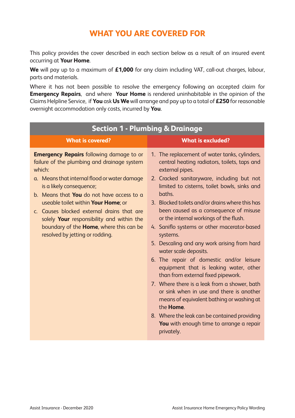### **WHAT YOU ARE COVERED FOR**

This policy provides the cover described in each section below as a result of an insured event occurring at **Your Home**.

**We** will pay up to a maximum of **£1,000** for any claim including VAT, call-out charges, labour, parts and materials.

Where it has not been possible to resolve the emergency following an accepted claim for **Emergency Repairs**, and where **Your Home** is rendered uninhabitable in the opinion of the Claims Helpline Service, if **You** ask **Us We** will arrange and pay up to a total of **£250** for reasonable overnight accommodation only costs, incurred by **You**.

| <b>Section 1 - Plumbing &amp; Drainage</b>                                                                                                                                                                                                                                                                                                                                                                                                                               |                                                                                                                                                                                                                                                                                                                                                                                                                                                                                                                                                                                                                                                                                                                                                                                                                                                                                                               |  |  |
|--------------------------------------------------------------------------------------------------------------------------------------------------------------------------------------------------------------------------------------------------------------------------------------------------------------------------------------------------------------------------------------------------------------------------------------------------------------------------|---------------------------------------------------------------------------------------------------------------------------------------------------------------------------------------------------------------------------------------------------------------------------------------------------------------------------------------------------------------------------------------------------------------------------------------------------------------------------------------------------------------------------------------------------------------------------------------------------------------------------------------------------------------------------------------------------------------------------------------------------------------------------------------------------------------------------------------------------------------------------------------------------------------|--|--|
| <b>What is covered?</b>                                                                                                                                                                                                                                                                                                                                                                                                                                                  | <b>What is excluded?</b>                                                                                                                                                                                                                                                                                                                                                                                                                                                                                                                                                                                                                                                                                                                                                                                                                                                                                      |  |  |
| <b>Emergency Repairs</b> following damage to or<br>failure of the plumbing and drainage system<br>which:<br>a. Means that internal flood or water damage<br>is a likely consequence;<br>b. Means that <b>You</b> do not have access to a<br>useable toilet within <b>Your Home</b> ; or<br>c. Causes blocked external drains that are<br>solely Your responsibility and within the<br>boundary of the <b>Home</b> , where this can be<br>resolved by jetting or rodding. | 1. The replacement of water tanks, cylinders,<br>central heating radiators, toilets, taps and<br>external pipes.<br>2. Cracked sanitaryware, including but not<br>limited to cisterns, toilet bowls, sinks and<br>haths.<br>3. Blocked toilets and/or drains where this has<br>been caused as a consequence of misuse<br>or the internal workings of the flush.<br>4. Saniflo systems or other macerator-based<br>systems.<br>5. Descaling and any work arising from hard<br>water scale deposits.<br>6. The repair of domestic and/or leisure<br>equipment that is leaking water, other<br>than from external fixed pipework.<br>7. Where there is a leak from a shower, bath<br>or sink when in use and there is another<br>means of equivalent bathing or washing at<br>the <b>Home</b> .<br>8. Where the leak can be contained providing<br><b>You</b> with enough time to arrange a repair<br>privately. |  |  |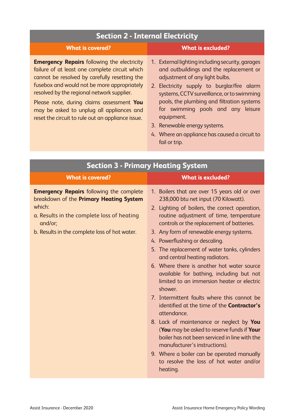### **Section 2 - Internal Electricity**

| <b>What is covered?</b>                                                                                                                                                                                                                                                                                                                      | <b>What is excluded?</b>                                                                                                                                                                                                                                                                                       |
|----------------------------------------------------------------------------------------------------------------------------------------------------------------------------------------------------------------------------------------------------------------------------------------------------------------------------------------------|----------------------------------------------------------------------------------------------------------------------------------------------------------------------------------------------------------------------------------------------------------------------------------------------------------------|
| <b>Emergency Repairs</b> following the electricity<br>failure of at least one complete circuit which<br>cannot be resolved by carefully resetting the<br>fusebox and would not be more appropriately<br>resolved by the regional network supplier.<br>Please note, during claims assessment You<br>may be asked to unplug all appliances and | 1. External lighting including security, garages<br>and outbuildings and the replacement or<br>adjustment of any light bulbs.<br>2. Electricity supply to burglar/fire alarm<br>systems, CCTV surveillance, or to swimming<br>pools, the plumbing and filtration systems<br>for swimming pools and any leisure |
| reset the circuit to rule out an appliance issue.                                                                                                                                                                                                                                                                                            | equipment.                                                                                                                                                                                                                                                                                                     |

- 3. Renewable energy systems.
- 4. Where an appliance has caused a circuit to fail or trip.

| <b>Section 3 - Primary Heating System</b>                                                                                                                                                                      |                                                                                                                                                                                                                                                                                                                                                                                                                                                                                                                                                                                                                                                                                                                                                                                                                                                                                                                                                        |  |
|----------------------------------------------------------------------------------------------------------------------------------------------------------------------------------------------------------------|--------------------------------------------------------------------------------------------------------------------------------------------------------------------------------------------------------------------------------------------------------------------------------------------------------------------------------------------------------------------------------------------------------------------------------------------------------------------------------------------------------------------------------------------------------------------------------------------------------------------------------------------------------------------------------------------------------------------------------------------------------------------------------------------------------------------------------------------------------------------------------------------------------------------------------------------------------|--|
| <b>What is covered?</b>                                                                                                                                                                                        | <b>What is excluded?</b>                                                                                                                                                                                                                                                                                                                                                                                                                                                                                                                                                                                                                                                                                                                                                                                                                                                                                                                               |  |
| <b>Emergency Repairs</b> following the complete<br>breakdown of the Primary Heating System<br>which:<br>a. Results in the complete loss of heating<br>and/or:<br>b. Results in the complete loss of hot water. | 1. Boilers that are over 15 years old or over<br>238,000 btu net input (70 Kilowatt).<br>2. Lighting of boilers, the correct operation,<br>routine adjustment of time, temperature<br>controls or the replacement of batteries.<br>3. Any form of renewable energy systems.<br>4. Powerflushing or descaling.<br>5. The replacement of water tanks, cylinders<br>and central heating radiators.<br>6. Where there is another hot water source<br>available for bathing, including but not<br>limited to an immersion heater or electric<br>shower.<br>7. Intermittent faults where this cannot be<br>identified at the time of the <b>Contractor's</b><br>attendance.<br>8. Lack of maintenance or neglect by You<br>(You may be asked to reserve funds if Your<br>boiler has not been serviced in line with the<br>manufacturer's instructions).<br>9. Where a boiler can be operated manually<br>to resolve the loss of hot water and/or<br>heating. |  |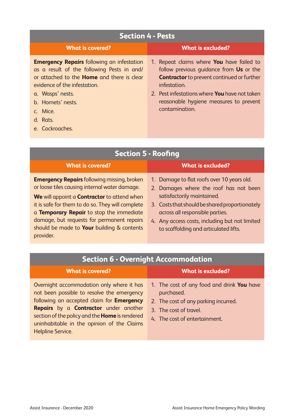| <b>Section 4 - Pests</b>                                                                                                                                                                                                                                                  |                                                                                                                                                                                                                                                                                      |  |
|---------------------------------------------------------------------------------------------------------------------------------------------------------------------------------------------------------------------------------------------------------------------------|--------------------------------------------------------------------------------------------------------------------------------------------------------------------------------------------------------------------------------------------------------------------------------------|--|
| <b>What is covered?</b>                                                                                                                                                                                                                                                   | What is excluded?                                                                                                                                                                                                                                                                    |  |
| <b>Emergency Repairs</b> following an infestation<br>as a result of the following Pests in and/<br>or attached to the <b>Home</b> and there is clear<br>evidence of the infestation.<br>a. Wasps' nests.<br>b. Hornets' nests.<br>c. Mice.<br>d. Rats.<br>e. Cockroaches. | 1. Repeat claims where <b>You</b> have failed to<br>follow previous quidance from Us or the<br><b>Contractor</b> to prevent continued or further<br>infestation.<br>2. Pest infestations where <b>You</b> have not taken<br>reasonable hygiene measures to prevent<br>contamination. |  |

| <b>Section 5 - Roofing</b>                                                                                                                                                                                                                                                                                                                                         |                                                                                                                                                                                                                                                                                                    |  |
|--------------------------------------------------------------------------------------------------------------------------------------------------------------------------------------------------------------------------------------------------------------------------------------------------------------------------------------------------------------------|----------------------------------------------------------------------------------------------------------------------------------------------------------------------------------------------------------------------------------------------------------------------------------------------------|--|
| <b>What is covered?</b>                                                                                                                                                                                                                                                                                                                                            | <b>What is excluded?</b>                                                                                                                                                                                                                                                                           |  |
| <b>Emergency Repairs</b> following missing, broken<br>or loose tiles causing internal water damage.<br>We will appoint a <b>Contractor</b> to attend when<br>it is safe for them to do so. They will complete<br>a Temporary Repair to stop the immediate<br>damage, but requests for permanent repairs<br>should be made to Your building & contents<br>provider. | 1. Damage to flat roofs over 10 years old.<br>2. Damages where the roof has not been<br>satisfactorily maintained.<br>3. Costs that should be shared proportionately<br>across all responsible parties.<br>4. Any access costs, including but not limited<br>to scaffolding and articulated lifts. |  |

| <b>Section 6 - Overnight Accommodation</b>                                                                                                                                                                                                                                                                                     |                                                                                                                                                                    |  |
|--------------------------------------------------------------------------------------------------------------------------------------------------------------------------------------------------------------------------------------------------------------------------------------------------------------------------------|--------------------------------------------------------------------------------------------------------------------------------------------------------------------|--|
| <b>What is covered?</b>                                                                                                                                                                                                                                                                                                        | <b>What is excluded?</b>                                                                                                                                           |  |
| Overnight accommodation only where it has<br>not been possible to resolve the emergency<br>following an accepted claim for <b>Emergency</b><br><b>Repairs</b> by a <b>Contractor</b> under another<br>section of the policy and the <b>Home</b> is rendered<br>uninhabitable in the opinion of the Claims<br>Helpline Service. | 1. The cost of any food and drink <b>You</b> have<br>purchased.<br>2. The cost of any parking incurred.<br>3. The cost of travel.<br>4. The cost of entertainment. |  |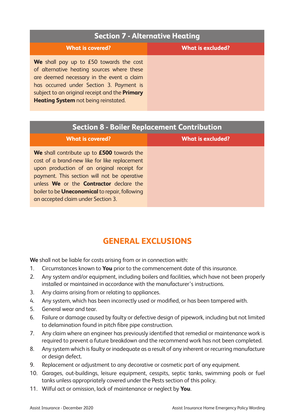### **Section 7 - Alternative Heating**

| <b>What is covered?</b>                               | <b>What is excluded?</b> |
|-------------------------------------------------------|--------------------------|
| We shall pay up to $£50$ towards the cost             |                          |
| of alternative heating sources where these            |                          |
| are deemed necessary in the event a claim             |                          |
| has occurred under Section 3. Payment is              |                          |
| subject to an original receipt and the <b>Primary</b> |                          |
| <b>Heating System</b> not being reinstated.           |                          |

### **Section 8 - Boiler Replacement Contribution**

| <b>What is covered?</b>                                                                                                                                                                                                                                                                                                                          | <b>What is excluded?</b> |
|--------------------------------------------------------------------------------------------------------------------------------------------------------------------------------------------------------------------------------------------------------------------------------------------------------------------------------------------------|--------------------------|
| We shall contribute up to £500 towards the<br>cost of a brand-new like for like replacement<br>upon production of an original receipt for<br>payment. This section will not be operative<br>unless <b>We</b> or the <b>Contractor</b> declare the<br>boiler to be <b>Uneconomical</b> to repair, following<br>an accepted claim under Section 3. |                          |

### **GENERAL EXCLUSIONS**

**We** shall not be liable for costs arising from or in connection with:

- 1. Circumstances known to **You** prior to the commencement date of this insurance.
- 2. Any system and/or equipment, including boilers and facilities, which have not been properly installed or maintained in accordance with the manufacturer's instructions.
- 3. Any claims arising from or relating to appliances.
- 4. Any system, which has been incorrectly used or modified, or has been tampered with.
- 5. General wear and tear.
- 6. Failure or damage caused by faulty or defective design of pipework, including but not limited to delamination found in pitch fibre pipe construction.
- 7. Any claim where an engineer has previously identified that remedial or maintenance work is required to prevent a future breakdown and the recommend work has not been completed.
- 8. Any system which is faulty or inadequate as a result of any inherent or recurring manufacture or design defect.
- 9. Replacement or adjustment to any decorative or cosmetic part of any equipment.
- 10. Garages, out-buildings, leisure equipment, cesspits, septic tanks, swimming pools or fuel tanks unless appropriately covered under the Pests section of this policy.
- 11. Wilful act or omission, lack of maintenance or neglect by **You**.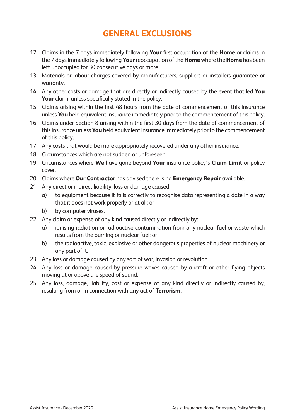### **GENERAL EXCLUSIONS**

- 12. Claims in the 7 days immediately following **Your** first occupation of the **Home** or claims in the 7 days immediately following **Your** reoccupation of the **Home** where the **Home** has been left unoccupied for 30 consecutive days or more.
- 13. Materials or labour charges covered by manufacturers, suppliers or installers guarantee or warranty.
- 14. Any other costs or damage that are directly or indirectly caused by the event that led **You Your** claim, unless specifically stated in the policy.
- 15. Claims arising within the first 48 hours from the date of commencement of this insurance unless **You** held equivalent insurance immediately prior to the commencement of this policy.
- 16. Claims under Section 8 arising within the first 30 days from the date of commencement of this insurance unless **You** held equivalent insurance immediately prior to the commencement of this policy.
- 17. Any costs that would be more appropriately recovered under any other insurance.
- 18. Circumstances which are not sudden or unforeseen.
- 19. Circumstances where **We** have gone beyond **Your** insurance policy's **Claim Limit** or policy cover.
- 20. Claims where **Our Contractor** has advised there is no **Emergency Repair** available.
- 21. Any direct or indirect liability, loss or damage caused:
	- a) to equipment because it fails correctly to recognise data representing a date in a way that it does not work properly or at all; or
	- b) by computer viruses.
- 22. Any claim or expense of any kind caused directly or indirectly by:
	- a) ionising radiation or radioactive contamination from any nuclear fuel or waste which results from the burning or nuclear fuel; or
	- b) the radioactive, toxic, explosive or other dangerous properties of nuclear machinery or any part of it.
- 23. Any loss or damage caused by any sort of war, invasion or revolution.
- 24. Any loss or damage caused by pressure waves caused by aircraft or other flying objects moving at or above the speed of sound.
- 25. Any loss, damage, liability, cost or expense of any kind directly or indirectly caused by, resulting from or in connection with any act of **Terrorism**.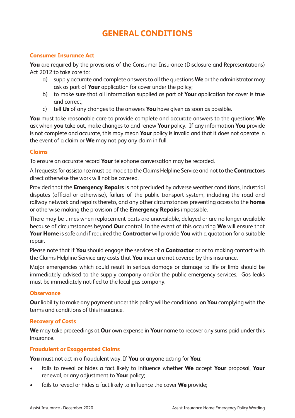### **GENERAL CONDITIONS**

### **Consumer Insurance Act**

**You** are required by the provisions of the Consumer Insurance (Disclosure and Representations) Act 2012 to take care to:

- a) supply accurate and complete answers to all the questions **We** or the administrator may ask as part of **Your** application for cover under the policy;
- b) to make sure that all information supplied as part of **Your** application for cover is true and correct;
- c) tell **Us** of any changes to the answers **You** have given as soon as possible.

**You** must take reasonable care to provide complete and accurate answers to the questions **We** ask when **you** take out, make changes to and renew **Your** policy. If any information **You** provide is not complete and accurate, this may mean **Your** policy is invalid and that it does not operate in the event of a claim or **We** may not pay any claim in full.

### **Claims**

To ensure an accurate record **Your** telephone conversation may be recorded.

All requests for assistance must be made to the Claims Helpline Service and not to the **Contractors** direct otherwise the work will not be covered.

Provided that the **Emergency Repairs** is not precluded by adverse weather conditions, industrial disputes (official or otherwise), failure of the public transport system, including the road and railway network and repairs thereto, and any other circumstances preventing access to the **home** or otherwise making the provision of the **Emergency Repairs** impossible.

There may be times when replacement parts are unavailable, delayed or are no longer available because of circumstances beyond **Our** control. In the event of this occurring **We** will ensure that **Your Home** is safe and if required the **Contractor** will provide **You** with a quotation for a suitable repair.

Please note that if **You** should engage the services of a **Contractor** prior to making contact with the Claims Helpline Service any costs that **You** incur are not covered by this insurance.

Major emergencies which could result in serious damage or damage to life or limb should be immediately advised to the supply company and/or the public emergency services. Gas leaks must be immediately notified to the local gas company.

### **Observance**

**Our** liability to make any payment under this policy will be conditional on **You** complying with the terms and conditions of this insurance.

### **Recovery of Costs**

**We** may take proceedings at **Our** own expense in **Your** name to recover any sums paid under this insurance.

#### **Fraudulent or Exaggerated Claims**

**You** must not act in a fraudulent way. If **You** or anyone acting for **You**:

- fails to reveal or hides a fact likely to influence whether **We** accept **Your** proposal, **Your**  renewal, or any adjustment to **Your** policy;
- fails to reveal or hides a fact likely to influence the cover **We** provide;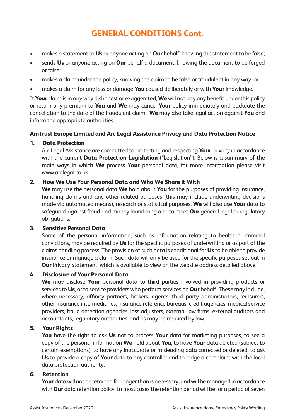- makes a statement to **Us** or anyone acting on **Our** behalf, knowing the statement to be false;
- sends **Us** or anyone acting on **Our** behalf a document, knowing the document to be forged or false;
- makes a claim under the policy, knowing the claim to be false or fraudulent in any way; or
- makes a claim for any loss or damage **You** caused deliberately or with **Your** knowledge.

If **Your** claim is in any way dishonest or exaggerated, **We** will not pay any benefit under this policy or return any premium to **You** and **We** may cancel **Your** policy immediately and backdate the cancellation to the date of the fraudulent claim. **We** may also take legal action against **You** and inform the appropriate authorities.

### **AmTrust Europe Limited and Arc Legal Assistance Privacy and Data Protection Notice**

### **1. Data Protection**

Arc Legal Assistance are committed to protecting and respecting **Your** privacy in accordance with the current **Data Protection Legislation** ("Legislation"). Below is a summary of the main ways in which **We** process **Your** personal data, for more information please visit www.arclegal.co.uk

### **2. How We Use Your Personal Data and Who We Share it With**

**We** may use the personal data **We** hold about **You** for the purposes of providing insurance, handling claims and any other related purposes (this may include underwriting decisions made via automated means), research or statistical purposes. **We** will also use **Your** data to safeguard against fraud and money laundering and to meet **Our** general legal or regulatory obligations.

#### **3. Sensitive Personal Data**

Some of the personal information, such as information relating to health or criminal convictions, may be required by **Us** for the specific purposes of underwriting or as part of the claims handling process. The provision of such data is conditional for **Us** to be able to provide insurance or manage a claim. Such data will only be used for the specific purposes set out in **Our** Privacy Statement, which is available to view on the website address detailed above.

### **4. Disclosure of Your Personal Data**

**We** may disclose **Your** personal data to third parties involved in providing products or services to **Us**, or to service providers who perform services on **Our** behalf. These may include, where necessary, affinity partners, brokers, agents, third party administrators, reinsurers, other insurance intermediaries, insurance reference bureaus, credit agencies, medical service providers, fraud detection agencies, loss adjusters, external law firms, external auditors and accountants, regulatory authorities, and as may be required by law.

#### **5. Your Rights**

**You** have the right to ask **Us** not to process **Your** data for marketing purposes, to see a copy of the personal information **We** hold about **You**, to have **Your** data deleted (subject to certain exemptions), to have any inaccurate or misleading data corrected or deleted, to ask **Us** to provide a copy of **Your** data to any controller and to lodge a complaint with the local data protection authority.

### **6. Retention**

**Your** data will not be retained for longer than is necessary, and will be managed in accordance with **Our** data retention policy. In most cases the retention period will be for a period of seven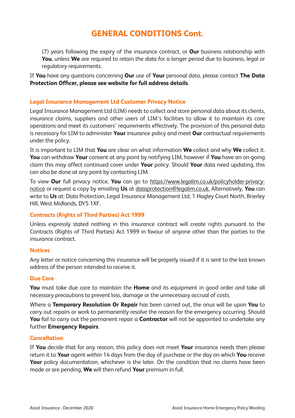(7) years following the expiry of the insurance contract, or **Our** business relationship with **You**, unless **We** are required to retain the data for a longer period due to business, legal or regulatory requirements.

If **You** have any questions concerning **Our** use of **Your** personal data, please contact **The Data Protection Officer, please see website for full address details**.

### **Legal Insurance Management Ltd Customer Privacy Notice**

Legal Insurance Management Ltd (LIM) needs to collect and store personal data about its clients, insurance claims, suppliers and other users of LIM's facilities to allow it to maintain its core operations and meet its customers' requirements effectively. The provision of this personal data is necessary for LIM to administer **Your** insurance policy and meet **Our** contractual requirements under the policy.

It is important to LIM that **You** are clear on what information **We** collect and why **We** collect it. **You** can withdraw **Your** consent at any point by notifying LIM, however if **You** have an on-going claim this may affect continued cover under **Your** policy. Should **Your** data need updating, this can also be done at any point by contacting LIM.

To view **Our** full privacy notice, **You** can go to https://www.legalim.co.uk/policyholder-privacynotice or request a copy by emailing **Us** at dataprotection@legalim.co.uk. Alternatively, **You** can write to **Us** at: Data Protection, Legal Insurance Management Ltd, 1 Hagley Court North, Brierley Hill, West Midlands, DY5 1XF.

### **Contracts (Rights of Third Parties) Act 1999**

Unless expressly stated nothing in this insurance contract will create rights pursuant to the Contracts (Rights of Third Parties) Act 1999 in favour of anyone other than the parties to the insurance contract.

#### **Notices**

Any letter or notice concerning this insurance will be properly issued if it is sent to the last known address of the person intended to receive it.

#### **Due Care**

**You** must take due care to maintain the **Home** and its equipment in good order and take all necessary precautions to prevent loss, damage or the unnecessary accrual of costs.

Where a **Temporary Resolution Or Repair** has been carried out, the onus will be upon **You** to carry out repairs or work to permanently resolve the reason for the emergency occurring. Should **You** fail to carry out the permanent repair a **Contractor** will not be appointed to undertake any further **Emergency Repairs**.

#### **Cancellation**

If **You** decide that for any reason, this policy does not meet **Your** insurance needs then please return it to **Your** agent within 14 days from the day of purchase or the day on which **You** receive Your policy documentation, whichever is the later. On the condition that no claims have been made or are pending, **We** will then refund **Your** premium in full.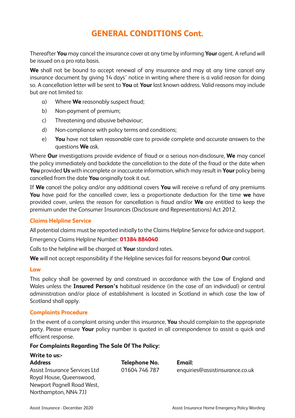Thereafter **You** may cancel the insurance cover at any time by informing **Your** agent. A refund will be issued on a pro rata basis.

**We** shall not be bound to accept renewal of any insurance and may at any time cancel any insurance document by giving 14 days' notice in writing where there is a valid reason for doing so. A cancellation letter will be sent to **You** at **Your** last known address. Valid reasons may include but are not limited to:

- a) Where **We** reasonably suspect fraud;
- b) Non-payment of premium;
- c) Threatening and abusive behaviour;
- d) Non-compliance with policy terms and conditions;
- e) **You** have not taken reasonable care to provide complete and accurate answers to the questions **We** ask.

Where **Our** investigations provide evidence of fraud or a serious non-disclosure, **We** may cancel the policy immediately and backdate the cancellation to the date of the fraud or the date when **You** provided **Us** with incomplete or inaccurate information, which may result in **Your** policy being cancelled from the date **You** originally took it out.

If **We** cancel the policy and/or any additional covers **You** will receive a refund of any premiums **You** have paid for the cancelled cover, less a proportionate deduction for the time **we** have provided cover, unless the reason for cancellation is fraud and/or **We** are entitled to keep the premium under the Consumer Insurances (Disclosure and Representations) Act 2012.

### **Claims Helpline Service**

All potential claims must be reported initially to the Claims Helpline Service for advice and support.

Emergency Claims Helpline Number: **01384 884040**

Calls to the helpline will be charged at **Your** standard rates.

**We** will not accept responsibility if the Helpline services fail for reasons beyond **Our** control.

#### **Law**

This policy shall be governed by and construed in accordance with the Law of England and Wales unless the **Insured Person's** habitual residence (in the case of an individual) or central administration and/or place of establishment is located in Scotland in which case the law of Scotland shall apply.

#### **Complaints Procedure**

**Write to us:-**

In the event of a complaint arising under this insurance, **You** should complain to the appropriate party. Please ensure **Your** policy number is quoted in all correspondence to assist a quick and efficient response.

#### **For Complaints Regarding The Sale Of The Policy:**

| <b>Write to us:-</b>          |               |                                 |
|-------------------------------|---------------|---------------------------------|
| <b>Address</b>                | Telephone No. | Email:                          |
| Assist Insurance Services Ltd | 01604 746 787 | enquiries@assistinsurance.co.uk |
| Royal House, Queenswood,      |               |                                 |
| Newport Pagnell Road West,    |               |                                 |
| Northampton, NN4 7JJ          |               |                                 |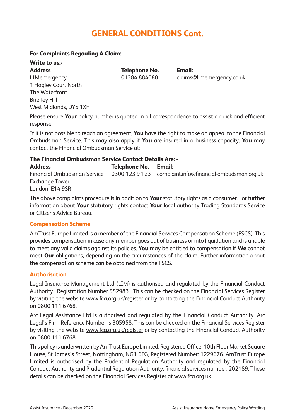### **For Complaints Regarding A Claim:**

## **Write to us:-**

1 Hagley Court North The Waterfront Brierley Hill West Midlands, DY5 1XF

**Address Telephone No. Email:**

LIMemergency 01384 884080 claims@limemergency.co.uk

Please ensure **Your** policy number is quoted in all correspondence to assist a quick and efficient response.

If it is not possible to reach an agreement, **You** have the right to make an appeal to the Financial Ombudsman Service. This may also apply if **You** are insured in a business capacity. **You** may contact the Financial Ombudsman Service at:

### **The Financial Ombudsman Service Contact Details Are: -**

**Address Telephone No. Email:** Financial Ombudsman Service 0300 123 9 123 complaint.info@financial-ombudsman.org.uk Exchange Tower London E14 9SR

The above complaints procedure is in addition to **Your** statutory rights as a consumer. For further information about **Your** statutory rights contact **Your** local authority Trading Standards Service or Citizens Advice Bureau.

### **Compensation Scheme**

AmTrust Europe Limited is a member of the Financial Services Compensation Scheme (FSCS). This provides compensation in case any member goes out of business or into liquidation and is unable to meet any valid claims against its policies. **You** may be entitled to compensation if **We** cannot meet **Our** obligations, depending on the circumstances of the claim. Further information about the compensation scheme can be obtained from the FSCS.

#### **Authorisation**

Legal Insurance Management Ltd (LIM) is authorised and regulated by the Financial Conduct Authority. Registration Number 552983. This can be checked on the Financial Services Register by visiting the website www.fca.org.uk/register or by contacting the Financial Conduct Authority on 0800 111 6768.

Arc Legal Assistance Ltd is authorised and regulated by the Financial Conduct Authority. Arc Legal's Firm Reference Number is 305958. This can be checked on the Financial Services Register by visiting the website www.fca.org.uk/register or by contacting the Financial Conduct Authority on 0800 111 6768.

This policy is underwritten by AmTrust Europe Limited, Registered Office: 10th Floor Market Square House, St James's Street, Nottingham, NG1 6FG, Registered Number: 1229676. AmTrust Europe Limited is authorised by the Prudential Regulation Authority and regulated by the Financial Conduct Authority and Prudential Regulation Authority, financial services number: 202189. These details can be checked on the Financial Services Register at www.fca.org.uk.